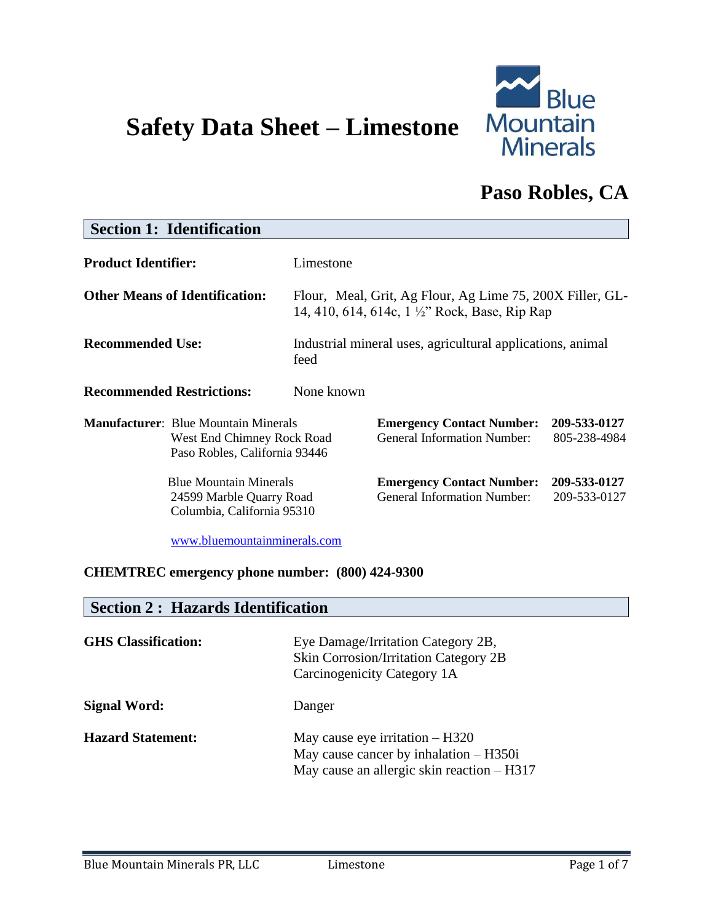# **Safety Data Sheet – Limestone**



# **Paso Robles, CA**

# **Section 1: Identification Product Identifier:** Limestone **Other Means of Identification:** Flour, Meal, Grit, Ag Flour, Ag Lime 75, 200X Filler, GL-14, 410, 614, 614c, 1 ½" Rock, Base, Rip Rap **Recommended Use:** Industrial mineral uses, agricultural applications, animal feed **Recommended Restrictions:** None known **Manufacturer**: Blue Mountain Minerals **Emergency Contact Number: 209-533-0127** West End Chimney Rock Road General Information Number: 805-238-4984 Paso Robles, California 93446 Blue Mountain Minerals **Emergency Contact Number: 209-533-0127** 24599 Marble Quarry Road General Information Number: 209-533-0127 Columbia, California 95310 [www.bluemountainminerals.com](http://www.bluemountainminerals.com/)

#### **CHEMTREC emergency phone number: (800) 424-9300**

#### **Section 2 : Hazards Identification**

| <b>GHS</b> Classification: | Eye Damage/Irritation Category 2B,<br><b>Skin Corrosion/Irritation Category 2B</b><br>Carcinogenicity Category 1A             |
|----------------------------|-------------------------------------------------------------------------------------------------------------------------------|
| <b>Signal Word:</b>        | Danger                                                                                                                        |
| <b>Hazard Statement:</b>   | May cause eye irritation $- H320$<br>May cause cancer by inhalation $-$ H350i<br>May cause an allergic skin reaction $-$ H317 |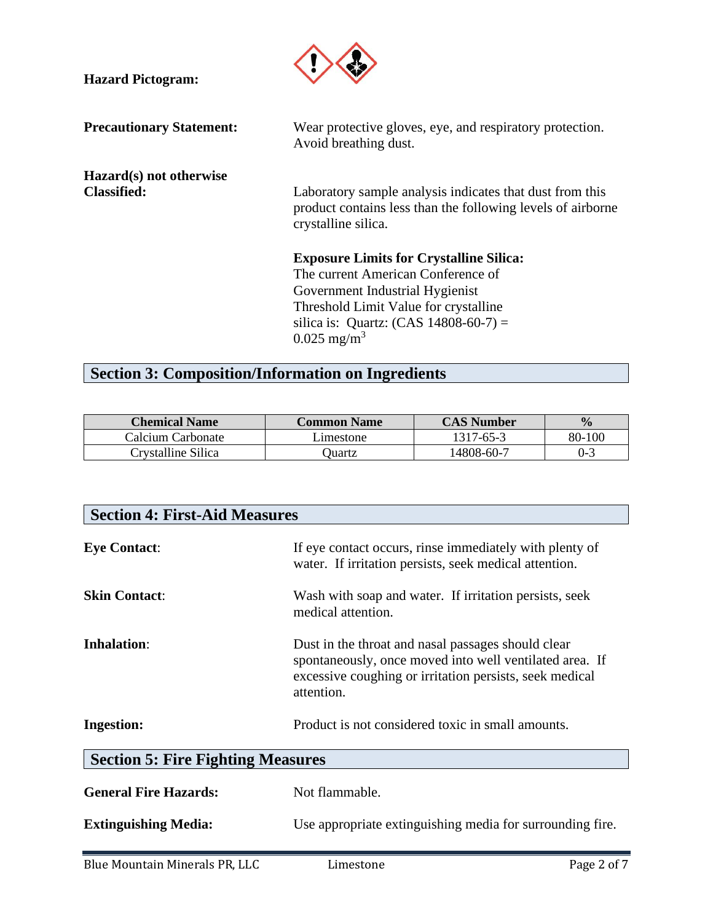| <b>Hazard Pictogram:</b>                      |                                                                                                                                                                                                                                          |
|-----------------------------------------------|------------------------------------------------------------------------------------------------------------------------------------------------------------------------------------------------------------------------------------------|
| <b>Precautionary Statement:</b>               | Wear protective gloves, eye, and respiratory protection.<br>Avoid breathing dust.                                                                                                                                                        |
| Hazard(s) not otherwise<br><b>Classified:</b> | Laboratory sample analysis indicates that dust from this<br>product contains less than the following levels of airborne<br>crystalline silica.                                                                                           |
|                                               | <b>Exposure Limits for Crystalline Silica:</b><br>The current American Conference of<br>Government Industrial Hygienist<br>Threshold Limit Value for crystalline<br>silica is: Quartz: $(CAS 14808-60-7) =$<br>$0.025$ mg/m <sup>3</sup> |

## **Section 3: Composition/Information on Ingredients**

| <b>Chemical Name</b> | <b>Common Name</b> | <b>CAS Number</b> | $\frac{1}{2}$ |
|----------------------|--------------------|-------------------|---------------|
| Calcium Carbonate    | Limestone          | 1317-65-3         | 80-100        |
| Crystalline Silica   | )uartz             | 14808-60-7        | $0 - 3$       |

| <b>Section 4: First-Aid Measures</b>     |                                                                                                                                                                                        |             |  |  |  |
|------------------------------------------|----------------------------------------------------------------------------------------------------------------------------------------------------------------------------------------|-------------|--|--|--|
| <b>Eye Contact:</b>                      | If eye contact occurs, rinse immediately with plenty of<br>water. If irritation persists, seek medical attention.                                                                      |             |  |  |  |
| <b>Skin Contact:</b>                     | Wash with soap and water. If irritation persists, seek<br>medical attention.                                                                                                           |             |  |  |  |
| <b>Inhalation:</b>                       | Dust in the throat and nasal passages should clear<br>spontaneously, once moved into well ventilated area. If<br>excessive coughing or irritation persists, seek medical<br>attention. |             |  |  |  |
| <b>Ingestion:</b>                        | Product is not considered toxic in small amounts.                                                                                                                                      |             |  |  |  |
| <b>Section 5: Fire Fighting Measures</b> |                                                                                                                                                                                        |             |  |  |  |
| <b>General Fire Hazards:</b>             | Not flammable.                                                                                                                                                                         |             |  |  |  |
| <b>Extinguishing Media:</b>              | Use appropriate extinguishing media for surrounding fire.                                                                                                                              |             |  |  |  |
| Blue Mountain Minerals PR, LLC           | Limestone                                                                                                                                                                              | Page 2 of 7 |  |  |  |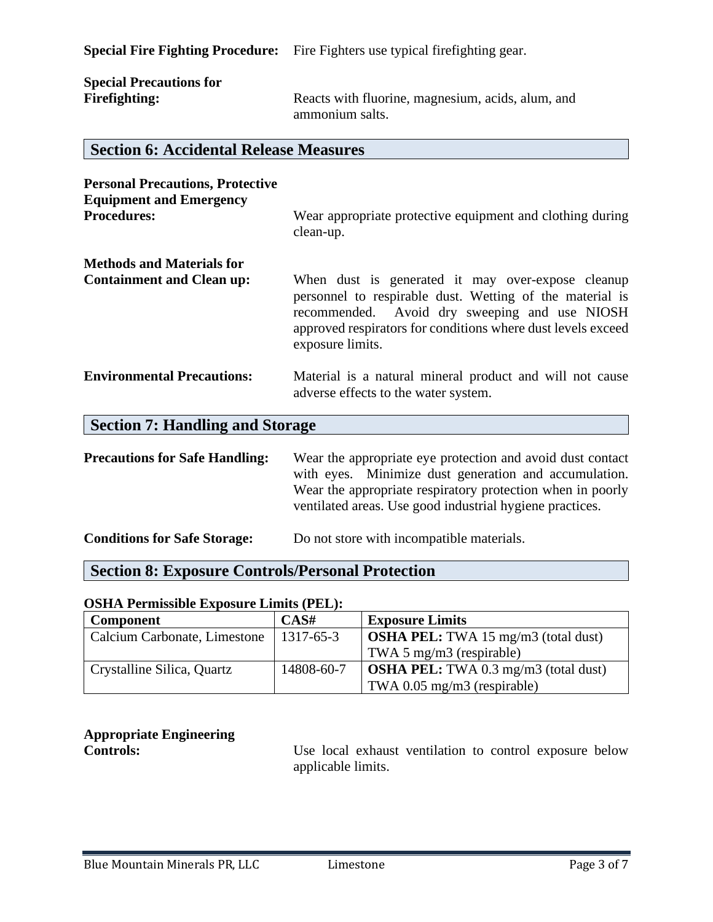**Special Fire Fighting Procedure:** Fire Fighters use typical firefighting gear.

| <b>Special Precautions for</b> |                                                   |
|--------------------------------|---------------------------------------------------|
| Firefighting:                  | Reacts with fluorine, magnesium, acids, alum, and |
|                                | ammonium salts.                                   |

#### **Section 6: Accidental Release Measures**

| <b>Personal Precautions, Protective</b><br><b>Equipment and Emergency</b><br><b>Procedures:</b> | Wear appropriate protective equipment and clothing during<br>clean-up.                                                                                                                                                                             |
|-------------------------------------------------------------------------------------------------|----------------------------------------------------------------------------------------------------------------------------------------------------------------------------------------------------------------------------------------------------|
| <b>Methods and Materials for</b>                                                                |                                                                                                                                                                                                                                                    |
| <b>Containment and Clean up:</b>                                                                | When dust is generated it may over-expose cleanup<br>personnel to respirable dust. Wetting of the material is<br>recommended. Avoid dry sweeping and use NIOSH<br>approved respirators for conditions where dust levels exceed<br>exposure limits. |
| <b>Environmental Precautions:</b>                                                               | Material is a natural mineral product and will not cause<br>adverse effects to the water system.                                                                                                                                                   |
| <b>Section 7: Handling and Storage</b>                                                          |                                                                                                                                                                                                                                                    |
| <b>Precautions for Safe Handling:</b>                                                           | Wear the appropriate eye protection and avoid dust contact<br>with eyes. Minimize dust generation and accumulation.<br>Wear the appropriate respiratory protection when in poorly                                                                  |

| <b>Conditions for Safe Storage:</b> | Do not store with incompatible materials. |
|-------------------------------------|-------------------------------------------|

## **Section 8: Exposure Controls/Personal Protection**

#### **OSHA Permissible Exposure Limits (PEL):**

| Component                    | CAS#       | <b>Exposure Limits</b>                      |
|------------------------------|------------|---------------------------------------------|
| Calcium Carbonate, Limestone | 1317-65-3  | <b>OSHA PEL:</b> TWA 15 mg/m3 (total dust)  |
|                              |            | TWA 5 mg/m3 (respirable)                    |
| Crystalline Silica, Quartz   | 14808-60-7 | <b>OSHA PEL:</b> TWA 0.3 mg/m3 (total dust) |
|                              |            | TWA $0.05$ mg/m3 (respirable)               |

# **Appropriate Engineering**

**Controls:** Use local exhaust ventilation to control exposure below applicable limits.

ventilated areas. Use good industrial hygiene practices.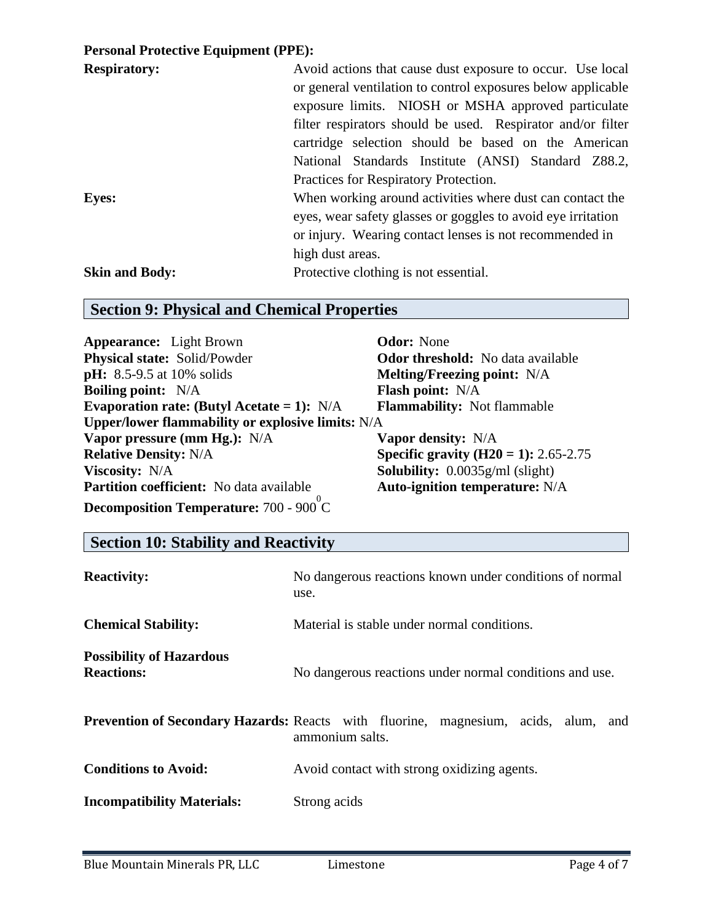### **Personal Protective Equipment (PPE):**

| <b>Respiratory:</b>   | Avoid actions that cause dust exposure to occur. Use local   |  |  |  |  |
|-----------------------|--------------------------------------------------------------|--|--|--|--|
|                       | or general ventilation to control exposures below applicable |  |  |  |  |
|                       | exposure limits. NIOSH or MSHA approved particulate          |  |  |  |  |
|                       | filter respirators should be used. Respirator and/or filter  |  |  |  |  |
|                       | cartridge selection should be based on the American          |  |  |  |  |
|                       | National Standards Institute (ANSI) Standard Z88.2,          |  |  |  |  |
|                       | Practices for Respiratory Protection.                        |  |  |  |  |
| <b>Eyes:</b>          | When working around activities where dust can contact the    |  |  |  |  |
|                       | eyes, wear safety glasses or goggles to avoid eye irritation |  |  |  |  |
|                       | or injury. Wearing contact lenses is not recommended in      |  |  |  |  |
|                       | high dust areas.                                             |  |  |  |  |
| <b>Skin and Body:</b> | Protective clothing is not essential.                        |  |  |  |  |

## **Section 9: Physical and Chemical Properties**

| <b>Appearance:</b> Light Brown                    | <b>Odor:</b> None                            |
|---------------------------------------------------|----------------------------------------------|
| <b>Physical state:</b> Solid/Powder               | <b>Odor threshold:</b> No data available     |
| <b>pH:</b> 8.5-9.5 at 10% solids                  | <b>Melting/Freezing point:</b> N/A           |
| <b>Boiling point:</b> N/A                         | <b>Flash point:</b> N/A                      |
| Evaporation rate: (Butyl Acetate = 1): $N/A$      | <b>Flammability:</b> Not flammable           |
| Upper/lower flammability or explosive limits: N/A |                                              |
| Vapor pressure (mm Hg.): N/A                      | <b>Vapor density:</b> N/A                    |
| <b>Relative Density: N/A</b>                      | <b>Specific gravity (H20 = 1):</b> 2.65-2.75 |
| <b>Viscosity:</b> N/A                             | <b>Solubility:</b> $0.0035g/ml$ (slight)     |
| <b>Partition coefficient:</b> No data available   | <b>Auto-ignition temperature: N/A</b>        |
| Decomposition Temperature: 700 - 900 °C           |                                              |

## **Section 10: Stability and Reactivity**

| <b>Reactivity:</b>                                   | No dangerous reactions known under conditions of normal<br>use.                                              |  |  |  |
|------------------------------------------------------|--------------------------------------------------------------------------------------------------------------|--|--|--|
| <b>Chemical Stability:</b>                           | Material is stable under normal conditions.                                                                  |  |  |  |
| <b>Possibility of Hazardous</b><br><b>Reactions:</b> | No dangerous reactions under normal conditions and use.                                                      |  |  |  |
|                                                      | <b>Prevention of Secondary Hazards:</b> Reacts with fluorine, magnesium, acids, alum, and<br>ammonium salts. |  |  |  |
| <b>Conditions to Avoid:</b>                          | Avoid contact with strong oxidizing agents.                                                                  |  |  |  |
| <b>Incompatibility Materials:</b>                    | Strong acids                                                                                                 |  |  |  |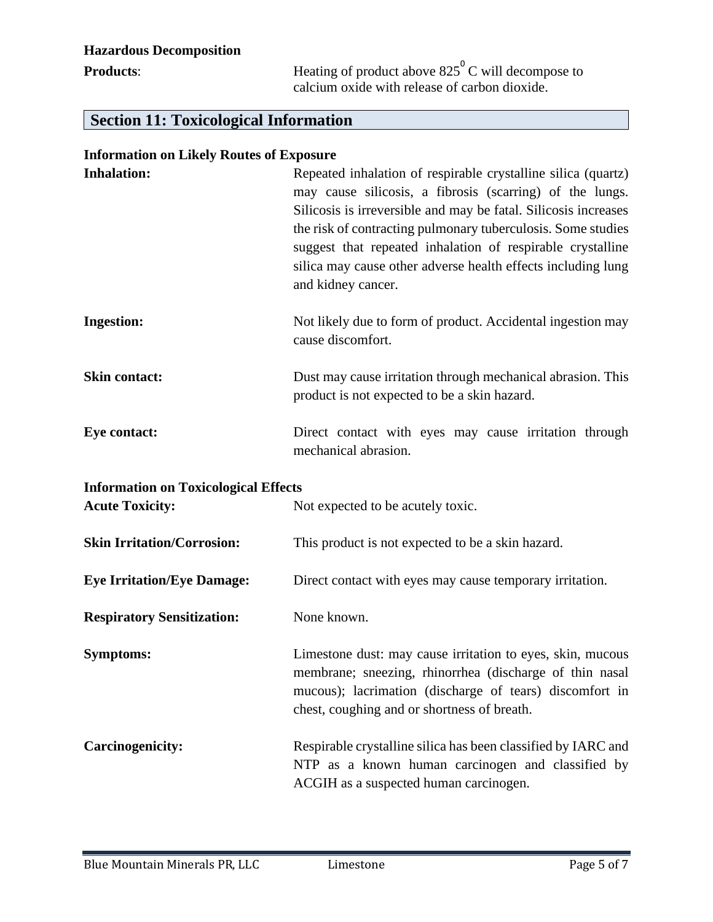## **Hazardous Decomposition**

**Products**: **Heating of product above 825<sup>°</sup>C will decompose to** calcium oxide with release of carbon dioxide.

## **Section 11: Toxicological Information**

| <b>Information on Likely Routes of Exposure</b> |  |  |  |
|-------------------------------------------------|--|--|--|
|                                                 |  |  |  |

| <b>Inhalation:</b>                                                    | Repeated inhalation of respirable crystalline silica (quartz)<br>may cause silicosis, a fibrosis (scarring) of the lungs.<br>Silicosis is irreversible and may be fatal. Silicosis increases<br>the risk of contracting pulmonary tuberculosis. Some studies<br>suggest that repeated inhalation of respirable crystalline<br>silica may cause other adverse health effects including lung<br>and kidney cancer. |
|-----------------------------------------------------------------------|------------------------------------------------------------------------------------------------------------------------------------------------------------------------------------------------------------------------------------------------------------------------------------------------------------------------------------------------------------------------------------------------------------------|
| <b>Ingestion:</b>                                                     | Not likely due to form of product. Accidental ingestion may<br>cause discomfort.                                                                                                                                                                                                                                                                                                                                 |
| <b>Skin contact:</b>                                                  | Dust may cause irritation through mechanical abrasion. This<br>product is not expected to be a skin hazard.                                                                                                                                                                                                                                                                                                      |
| <b>Eye contact:</b>                                                   | Direct contact with eyes may cause irritation through<br>mechanical abrasion.                                                                                                                                                                                                                                                                                                                                    |
|                                                                       |                                                                                                                                                                                                                                                                                                                                                                                                                  |
| <b>Information on Toxicological Effects</b><br><b>Acute Toxicity:</b> | Not expected to be acutely toxic.                                                                                                                                                                                                                                                                                                                                                                                |
| <b>Skin Irritation/Corrosion:</b>                                     | This product is not expected to be a skin hazard.                                                                                                                                                                                                                                                                                                                                                                |
| <b>Eye Irritation/Eye Damage:</b>                                     | Direct contact with eyes may cause temporary irritation.                                                                                                                                                                                                                                                                                                                                                         |
| <b>Respiratory Sensitization:</b>                                     | None known.                                                                                                                                                                                                                                                                                                                                                                                                      |
| <b>Symptoms:</b>                                                      | Limestone dust: may cause irritation to eyes, skin, mucous<br>membrane; sneezing, rhinorrhea (discharge of thin nasal<br>mucous); lacrimation (discharge of tears) discomfort in<br>chest, coughing and or shortness of breath.                                                                                                                                                                                  |
| <b>Carcinogenicity:</b>                                               | Respirable crystalline silica has been classified by IARC and<br>NTP as a known human carcinogen and classified by<br>ACGIH as a suspected human carcinogen.                                                                                                                                                                                                                                                     |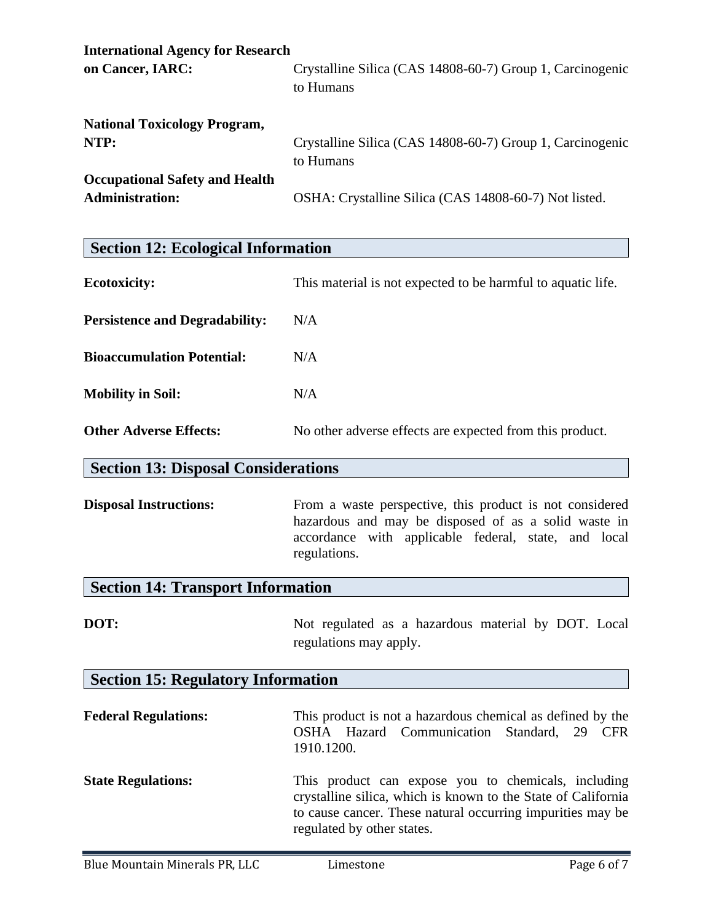| <b>International Agency for Research</b>                        |                                                                        |
|-----------------------------------------------------------------|------------------------------------------------------------------------|
| on Cancer, IARC:                                                | Crystalline Silica (CAS 14808-60-7) Group 1, Carcinogenic<br>to Humans |
| <b>National Toxicology Program,</b>                             |                                                                        |
| NTP:                                                            | Crystalline Silica (CAS 14808-60-7) Group 1, Carcinogenic<br>to Humans |
| <b>Occupational Safety and Health</b><br><b>Administration:</b> | OSHA: Crystalline Silica (CAS 14808-60-7) Not listed.                  |

| <b>Ecotoxicity:</b>                   | This material is not expected to be harmful to aquatic life. |
|---------------------------------------|--------------------------------------------------------------|
| <b>Persistence and Degradability:</b> | N/A                                                          |
| <b>Bioaccumulation Potential:</b>     | N/A                                                          |
| <b>Mobility in Soil:</b>              | N/A                                                          |
| <b>Other Adverse Effects:</b>         | No other adverse effects are expected from this product.     |

### **Section 13: Disposal Considerations**

**Disposal Instructions:** From a waste perspective, this product is not considered hazardous and may be disposed of as a solid waste in accordance with applicable federal, state, and local regulations.

## **Section 14: Transport Information**

**DOT:** Not regulated as a hazardous material by DOT. Local regulations may apply.

## **Section 15: Regulatory Information**

| <b>Federal Regulations:</b> | This product is not a hazardous chemical as defined by the<br>OSHA Hazard Communication Standard, 29 CFR<br>1910.1200. |
|-----------------------------|------------------------------------------------------------------------------------------------------------------------|
| <b>State Regulations:</b>   | This product can expose you to chemicals, including<br>crystalline silica, which is known to the State of California   |

regulated by other states.

to cause cancer. These natural occurring impurities may be